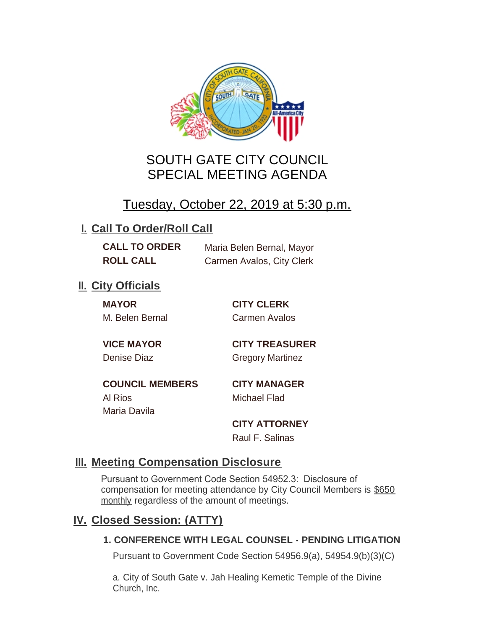

# SOUTH GATE CITY COUNCIL SPECIAL MEETING AGENDA

# Tuesday, October 22, 2019 at 5:30 p.m.

## **I. Call To Order/Roll Call**

| <b>CALL TO ORDER</b> | Maria Belen Bernal, Mayor |
|----------------------|---------------------------|
| <b>ROLL CALL</b>     | Carmen Avalos, City Clerk |

## **II.** City Officials

**MAYOR CITY CLERK** M. Belen Bernal Carmen Avalos

**VICE MAYOR CITY TREASURER** Denise Diaz Gregory Martinez

**COUNCIL MEMBERS CITY MANAGER** Al Rios Michael Flad Maria Davila

**CITY ATTORNEY**

Raul F. Salinas

### **Meeting Compensation Disclosure III.**

Pursuant to Government Code Section 54952.3: Disclosure of compensation for meeting attendance by City Council Members is \$650 monthly regardless of the amount of meetings.

### **Closed Session: (ATTY) IV.**

#### **1. CONFERENCE WITH LEGAL COUNSEL - PENDING LITIGATION**

Pursuant to Government Code Section 54956.9(a), 54954.9(b)(3)(C)

a. City of South Gate v. Jah Healing Kemetic Temple of the Divine Church, Inc.